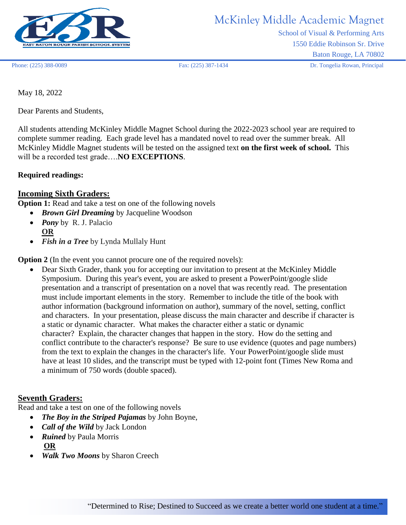

# McKinley Middle Academic Magnet

School of Visual & Performing Arts 1550 Eddie Robinson Sr. Drive Baton Rouge, LA 70802

Phone: (225) 388-0089 Fax: (225) 387-1434 Dr. Tongelia Rowan, Principal

May 18, 2022

Dear Parents and Students,

All students attending McKinley Middle Magnet School during the 2022-2023 school year are required to complete summer reading. Each grade level has a mandated novel to read over the summer break. All McKinley Middle Magnet students will be tested on the assigned text **on the first week of school.** This will be a recorded test grade….**NO EXCEPTIONS**.

#### **Required readings:**

#### **Incoming Sixth Graders:**

**Option 1:** Read and take a test on one of the following novels

- *Brown Girl Dreaming* by Jacqueline Woodson
- *Pony* by R. J. Palacio **OR**
- *Fish in a Tree* by Lynda Mullaly Hunt

**Option 2** (In the event you cannot procure one of the required novels):

• Dear Sixth Grader, thank you for accepting our invitation to present at the McKinley Middle Symposium. During this year's event, you are asked to present a PowerPoint/google slide presentation and a transcript of presentation on a novel that was recently read. The presentation must include important elements in the story. Remember to include the title of the book with author information (background information on author), summary of the novel, setting, conflict and characters. In your presentation, please discuss the main character and describe if character is a static or dynamic character. What makes the character either a static or dynamic character? Explain, the character changes that happen in the story. How do the setting and conflict contribute to the character's response? Be sure to use evidence (quotes and page numbers) from the text to explain the changes in the character's life. Your PowerPoint/google slide must have at least 10 slides, and the transcript must be typed with 12-point font (Times New Roma and a minimum of 750 words (double spaced).

#### **Seventh Graders:**

Read and take a test on one of the following novels

- *The Boy in the Striped Pajamas* by John Boyne,
- *Call of the Wild* by Jack London
- *Ruined* by Paula Morris **OR**
- *Walk Two Moons* by Sharon Creech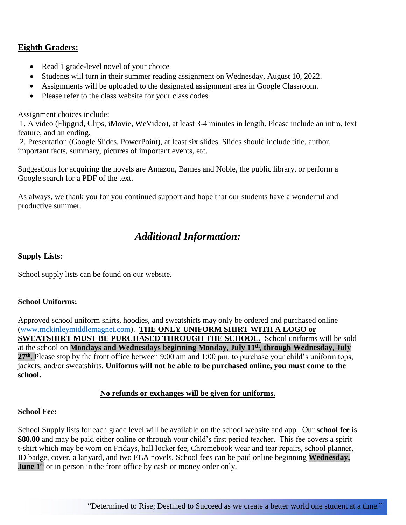### **Eighth Graders:**

- Read 1 grade-level novel of your choice
- Students will turn in their summer reading assignment on Wednesday, August 10, 2022.
- Assignments will be uploaded to the designated assignment area in Google Classroom.
- Please refer to the class website for your class codes

Assignment choices include:

1. A video (Flipgrid, Clips, iMovie, WeVideo), at least 3-4 minutes in length. Please include an intro, text feature, and an ending.

2. Presentation (Google Slides, PowerPoint), at least six slides. Slides should include title, author, important facts, summary, pictures of important events, etc.

Suggestions for acquiring the novels are Amazon, Barnes and Noble, the public library, or perform a Google search for a PDF of the text.

As always, we thank you for you continued support and hope that our students have a wonderful and productive summer.

## *Additional Information:*

#### **Supply Lists:**

School supply lists can be found on our website.

#### **School Uniforms:**

Approved school uniform shirts, hoodies, and sweatshirts may only be ordered and purchased online [\(www.mckinleymiddlemagnet.com\)](http://www.mckinleymiddlemagnet.com/). **THE ONLY UNIFORM SHIRT WITH A LOGO or SWEATSHIRT MUST BE PURCHASED THROUGH THE SCHOOL.** School uniforms will be sold at the school on **Mondays and Wednesdays beginning Monday, July 11th , through Wednesday, July**  27<sup>th</sup>. Please stop by the front office between 9:00 am and 1:00 pm. to purchase your child's uniform tops, jackets, and/or sweatshirts. **Uniforms will not be able to be purchased online, you must come to the school.**

#### **No refunds or exchanges will be given for uniforms.**

#### **School Fee:**

School Supply lists for each grade level will be available on the school website and app. Our **school fee** is **\$80.00** and may be paid either online or through your child's first period teacher. This fee covers a spirit t-shirt which may be worn on Fridays, hall locker fee, Chromebook wear and tear repairs, school planner, ID badge, cover, a lanyard, and two ELA novels. School fees can be paid online beginning **Wednesday, June 1<sup>st</sup>** or in person in the front office by cash or money order only.